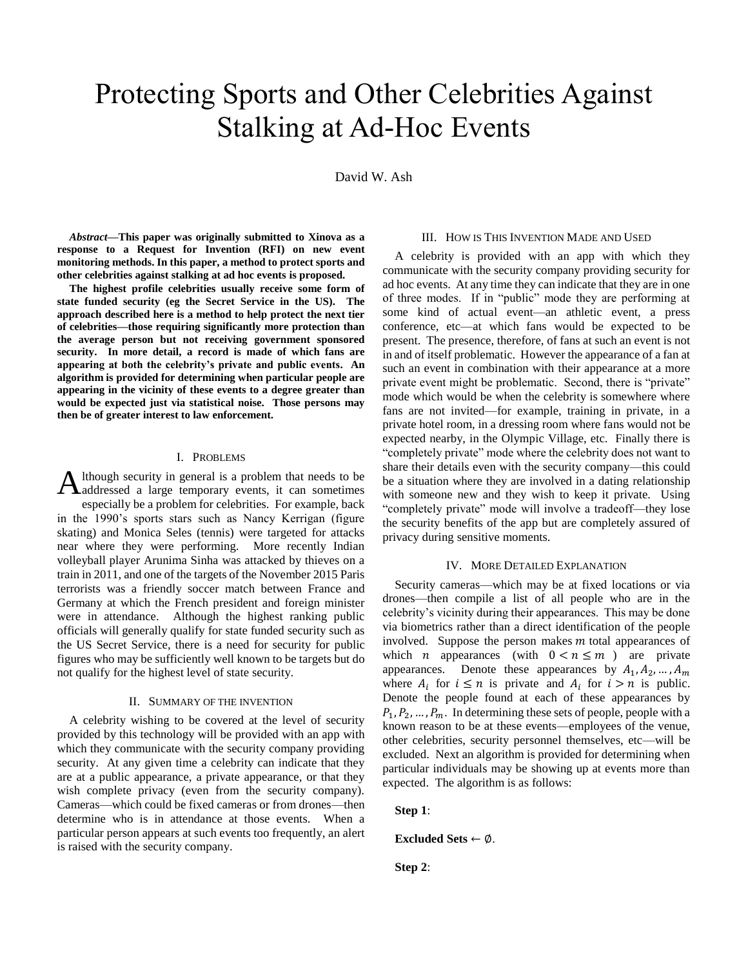# Protecting Sports and Other Celebrities Against Stalking at Ad-Hoc Events

David W. Ash

*Abstract***—This paper was originally submitted to Xinova as a response to a Request for Invention (RFI) on new event monitoring methods. In this paper, a method to protect sports and other celebrities against stalking at ad hoc events is proposed.** 

**The highest profile celebrities usually receive some form of state funded security (eg the Secret Service in the US). The approach described here is a method to help protect the next tier of celebrities—those requiring significantly more protection than the average person but not receiving government sponsored security. In more detail, a record is made of which fans are appearing at both the celebrity's private and public events. An algorithm is provided for determining when particular people are appearing in the vicinity of these events to a degree greater than would be expected just via statistical noise. Those persons may then be of greater interest to law enforcement.**

### I. PROBLEMS

lthough security in general is a problem that needs to be Although security in general is a problem that needs to be addressed a large temporary events, it can sometimes especially be a problem for celebrities. For example, back in the 1990's sports stars such as Nancy Kerrigan (figure skating) and Monica Seles (tennis) were targeted for attacks near where they were performing. More recently Indian volleyball player Arunima Sinha was attacked by thieves on a train in 2011, and one of the targets of the November 2015 Paris terrorists was a friendly soccer match between France and Germany at which the French president and foreign minister were in attendance. Although the highest ranking public officials will generally qualify for state funded security such as the US Secret Service, there is a need for security for public figures who may be sufficiently well known to be targets but do not qualify for the highest level of state security.

#### II. SUMMARY OF THE INVENTION

A celebrity wishing to be covered at the level of security provided by this technology will be provided with an app with which they communicate with the security company providing security. At any given time a celebrity can indicate that they are at a public appearance, a private appearance, or that they wish complete privacy (even from the security company). Cameras—which could be fixed cameras or from drones—then determine who is in attendance at those events. When a particular person appears at such events too frequently, an alert is raised with the security company.

# III. HOW IS THIS INVENTION MADE AND USED

A celebrity is provided with an app with which they communicate with the security company providing security for ad hoc events. At any time they can indicate that they are in one of three modes. If in "public" mode they are performing at some kind of actual event—an athletic event, a press conference, etc—at which fans would be expected to be present. The presence, therefore, of fans at such an event is not in and of itself problematic. However the appearance of a fan at such an event in combination with their appearance at a more private event might be problematic. Second, there is "private" mode which would be when the celebrity is somewhere where fans are not invited—for example, training in private, in a private hotel room, in a dressing room where fans would not be expected nearby, in the Olympic Village, etc. Finally there is "completely private" mode where the celebrity does not want to share their details even with the security company—this could be a situation where they are involved in a dating relationship with someone new and they wish to keep it private. Using "completely private" mode will involve a tradeoff—they lose the security benefits of the app but are completely assured of privacy during sensitive moments.

#### IV. MORE DETAILED EXPLANATION

Security cameras—which may be at fixed locations or via drones—then compile a list of all people who are in the celebrity's vicinity during their appearances. This may be done via biometrics rather than a direct identification of the people involved. Suppose the person makes  *total appearances of* which *n* appearances (with  $0 < n \le m$ ) are private appearances. Denote these appearances by  $A_1, A_2, ..., A_m$ where  $A_i$  for  $i \leq n$  is private and  $A_i$  for  $i > n$  is public. Denote the people found at each of these appearances by  $P_1, P_2, \ldots, P_m$ . In determining these sets of people, people with a known reason to be at these events—employees of the venue, other celebrities, security personnel themselves, etc—will be excluded. Next an algorithm is provided for determining when particular individuals may be showing up at events more than expected. The algorithm is as follows:

**Step 1**:

**Excluded Sets** ← ∅.

**Step 2**: